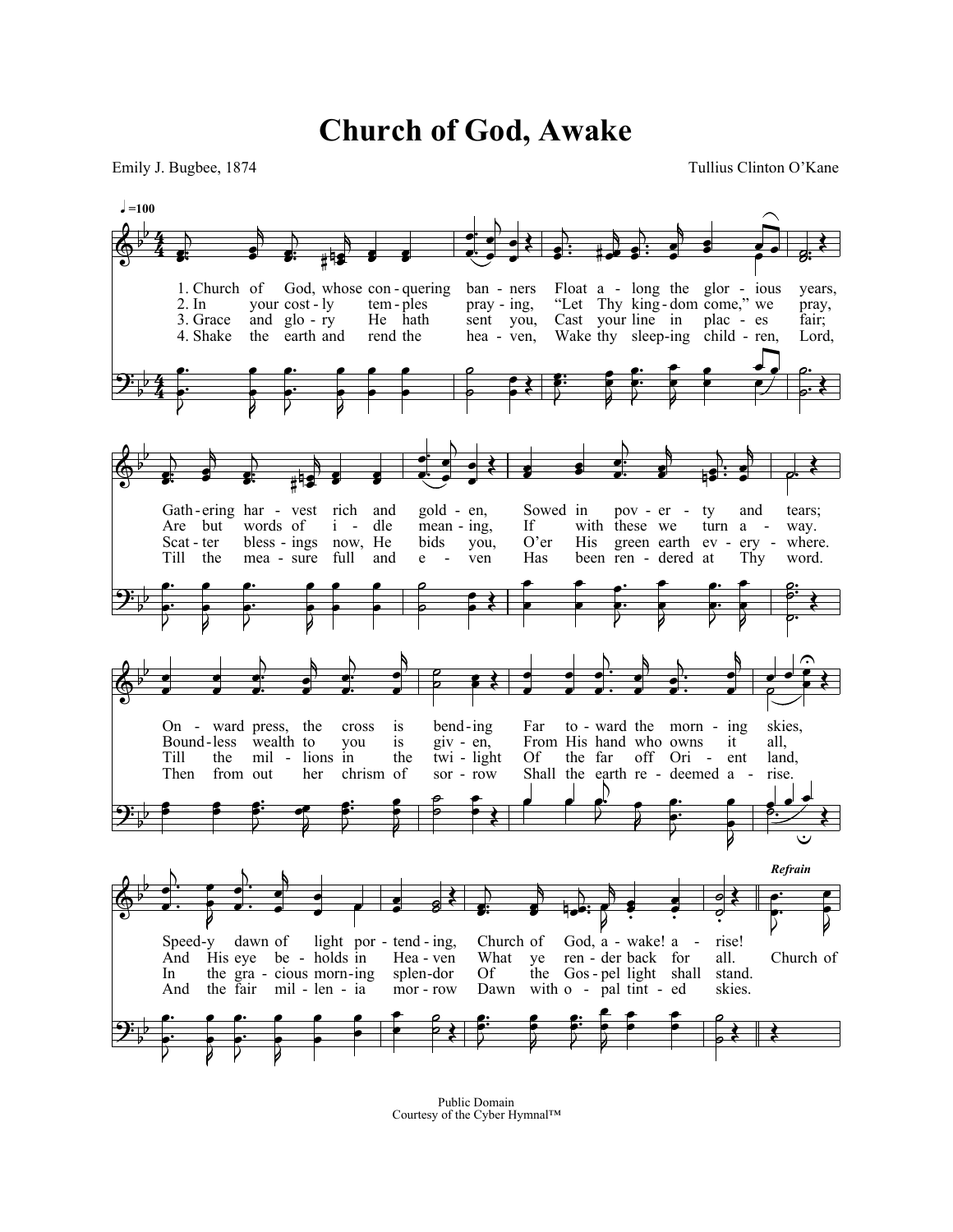**Church of God, Awake**

Emily J. Bugbee, 1874 Tullius Clinton O'Kane



Public Domain Courtesy of the Cyber Hymnal™